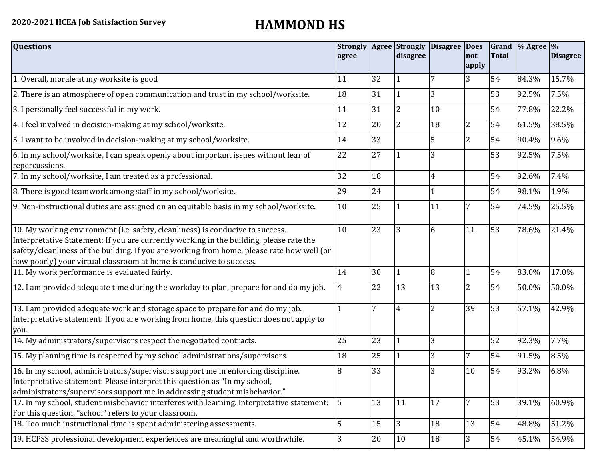| <b>Questions</b>                                                                                                                                                                                                                                                                                                                               | agree          |        | disagree       | Strongly   Agree   Strongly   Disagree   Does | not<br>apply   | <b>Total</b> | Grand  % Agree  % | <b>Disagree</b> |
|------------------------------------------------------------------------------------------------------------------------------------------------------------------------------------------------------------------------------------------------------------------------------------------------------------------------------------------------|----------------|--------|----------------|-----------------------------------------------|----------------|--------------|-------------------|-----------------|
| 1. Overall, morale at my worksite is good                                                                                                                                                                                                                                                                                                      | 11             | 32     |                | 7                                             | 3              | 54           | 84.3%             | 15.7%           |
| 2. There is an atmosphere of open communication and trust in my school/worksite.                                                                                                                                                                                                                                                               | 18             | 31     | $\vert$ 1      | 3                                             |                | 53           | 92.5%             | 7.5%            |
| 3. I personally feel successful in my work.                                                                                                                                                                                                                                                                                                    | 11             | 31     | $\overline{2}$ | 10                                            |                | 54           | 77.8%             | 22.2%           |
| 4. I feel involved in decision-making at my school/worksite.                                                                                                                                                                                                                                                                                   | 12             | 20     | $\overline{2}$ | 18                                            | $\overline{2}$ | 54           | 61.5%             | 38.5%           |
| 5. I want to be involved in decision-making at my school/worksite.                                                                                                                                                                                                                                                                             | 14             | 33     |                | 5                                             | $\overline{2}$ | 54           | 90.4%             | 9.6%            |
| 6. In my school/worksite, I can speak openly about important issues without fear of<br>repercussions.                                                                                                                                                                                                                                          | 22             | 27     |                | 3                                             |                | 53           | 92.5%             | 7.5%            |
| 7. In my school/worksite, I am treated as a professional.                                                                                                                                                                                                                                                                                      | 32             | 18     |                | 4                                             |                | 54           | 92.6%             | 7.4%            |
| 8. There is good teamwork among staff in my school/worksite.                                                                                                                                                                                                                                                                                   | 29             | 24     |                |                                               |                | 54           | 98.1%             | 1.9%            |
| 9. Non-instructional duties are assigned on an equitable basis in my school/worksite.                                                                                                                                                                                                                                                          | 10             | 25     |                | 11                                            | 7              | 54           | 74.5%             | 25.5%           |
| 10. My working environment (i.e. safety, cleanliness) is conducive to success.<br>Interpretative Statement: If you are currently working in the building, please rate the<br>safety/cleanliness of the building. If you are working from home, please rate how well (or<br>how poorly) your virtual classroom at home is conducive to success. | 10             | 23     | 3              | 6                                             | 11             | 53           | 78.6%             | 21.4%           |
| 11. My work performance is evaluated fairly.                                                                                                                                                                                                                                                                                                   | 14             | 30     |                | 8                                             |                | 54           | 83.0%             | 17.0%           |
| 12. I am provided adequate time during the workday to plan, prepare for and do my job.                                                                                                                                                                                                                                                         | $\overline{4}$ | 22     | 13             | 13                                            | $\overline{2}$ | 54           | 50.0%             | 50.0%           |
| 13. I am provided adequate work and storage space to prepare for and do my job.<br>Interpretative statement: If you are working from home, this question does not apply to<br>you.                                                                                                                                                             |                | 7      | 4              | 2                                             | 39             | 53           | 57.1%             | 42.9%           |
| 14. My administrators/supervisors respect the negotiated contracts.                                                                                                                                                                                                                                                                            | 25             | 23     | 1              | 3                                             |                | 52           | 92.3%             | 7.7%            |
| 15. My planning time is respected by my school administrations/supervisors.                                                                                                                                                                                                                                                                    | 18             | 25     | $\vert$ 1      | 3                                             | 7              | 54           | 91.5%             | 8.5%            |
| 16. In my school, administrators/supervisors support me in enforcing discipline.<br>Interpretative statement: Please interpret this question as "In my school,<br>administrators/supervisors support me in addressing student misbehavior."                                                                                                    | 8              | 33     |                | 3                                             | 10             | 54           | 93.2%             | 6.8%            |
| 17. In my school, student misbehavior interferes with learning. Interpretative statement:<br>For this question, "school" refers to your classroom.                                                                                                                                                                                             | 5              | 13     | 11             | 17                                            | 7              | 53           | 39.1%             | 60.9%           |
| 18. Too much instructional time is spent administering assessments.                                                                                                                                                                                                                                                                            | 5              | 15     | $ 3\rangle$    | 18                                            | 13             | 54           | 48.8%             | 51.2%           |
| 19. HCPSS professional development experiences are meaningful and worthwhile.                                                                                                                                                                                                                                                                  | 3              | $20\,$ | 10             | 18                                            | $\overline{3}$ | 54           | 45.1%             | 54.9%           |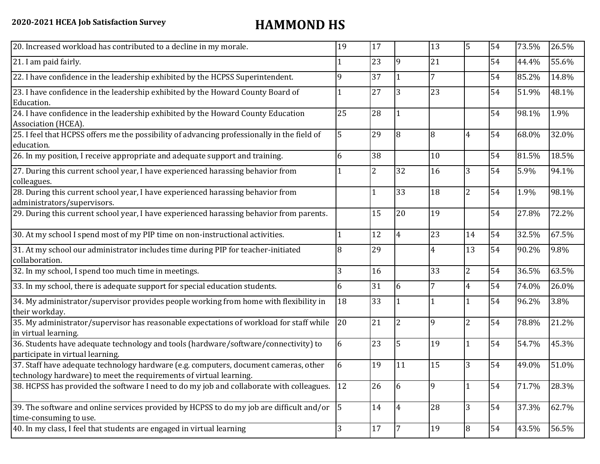| 20. Increased workload has contributed to a decline in my morale.                                                                                          | 19 | 17             |                | 13             | $\overline{5}$ | 54 | 73.5% | 26.5% |
|------------------------------------------------------------------------------------------------------------------------------------------------------------|----|----------------|----------------|----------------|----------------|----|-------|-------|
| 21. I am paid fairly.                                                                                                                                      |    | 23             | 9              | 21             |                | 54 | 44.4% | 55.6% |
| 22. I have confidence in the leadership exhibited by the HCPSS Superintendent.                                                                             | 9  | 37             |                | 7              |                | 54 | 85.2% | 14.8% |
| 23. I have confidence in the leadership exhibited by the Howard County Board of<br>Education.                                                              |    | 27             | 3              | 23             |                | 54 | 51.9% | 48.1% |
| 24. I have confidence in the leadership exhibited by the Howard County Education<br>Association (HCEA).                                                    | 25 | 28             |                |                |                | 54 | 98.1% | 1.9%  |
| 25. I feel that HCPSS offers me the possibility of advancing professionally in the field of<br>education.                                                  | 5  | 29             | 8              | 8              | $\overline{4}$ | 54 | 68.0% | 32.0% |
| 26. In my position, I receive appropriate and adequate support and training.                                                                               | 6  | 38             |                | 10             |                | 54 | 81.5% | 18.5% |
| 27. During this current school year, I have experienced harassing behavior from<br>colleagues.                                                             |    | $\overline{2}$ | 32             | 16             | 3              | 54 | 5.9%  | 94.1% |
| 28. During this current school year, I have experienced harassing behavior from<br>administrators/supervisors.                                             |    |                | 33             | 18             | $\overline{2}$ | 54 | 1.9%  | 98.1% |
| 29. During this current school year, I have experienced harassing behavior from parents.                                                                   |    | 15             | 20             | 19             |                | 54 | 27.8% | 72.2% |
| 30. At my school I spend most of my PIP time on non-instructional activities.                                                                              |    | 12             | 4              | 23             | 14             | 54 | 32.5% | 67.5% |
| 31. At my school our administrator includes time during PIP for teacher-initiated<br>collaboration.                                                        | 8  | 29             |                | $\overline{4}$ | 13             | 54 | 90.2% | 9.8%  |
| 32. In my school, I spend too much time in meetings.                                                                                                       | 3  | 16             |                | 33             | $\overline{2}$ | 54 | 36.5% | 63.5% |
| 33. In my school, there is adequate support for special education students.                                                                                | 6  | 31             | 6              | 7              | 4              | 54 | 74.0% | 26.0% |
| 34. My administrator/supervisor provides people working from home with flexibility in<br>their workday.                                                    | 18 | 33             |                |                | 1              | 54 | 96.2% | 3.8%  |
| 35. My administrator/supervisor has reasonable expectations of workload for staff while<br>in virtual learning.                                            | 20 | 21             | $\overline{2}$ | 9              | $\overline{2}$ | 54 | 78.8% | 21.2% |
| 36. Students have adequate technology and tools (hardware/software/connectivity) to<br>participate in virtual learning.                                    | 6  | 23             | 5              | 19             | 1              | 54 | 54.7% | 45.3% |
| 37. Staff have adequate technology hardware (e.g. computers, document cameras, other<br>technology hardware) to meet the requirements of virtual learning. | 6  | 19             | 11             | 15             | 3              | 54 | 49.0% | 51.0% |
| 38. HCPSS has provided the software I need to do my job and collaborate with colleagues.                                                                   | 12 | 26             | 6              | 9              | 1              | 54 | 71.7% | 28.3% |
| 39. The software and online services provided by HCPSS to do my job are difficult and/or $\vert$ 5<br>time-consuming to use.                               |    | 14             | $\overline{4}$ | 28             | 3              | 54 | 37.3% | 62.7% |
| 40. In my class, I feel that students are engaged in virtual learning                                                                                      | 3  | 17             |                | 19             | 8              | 54 | 43.5% | 56.5% |